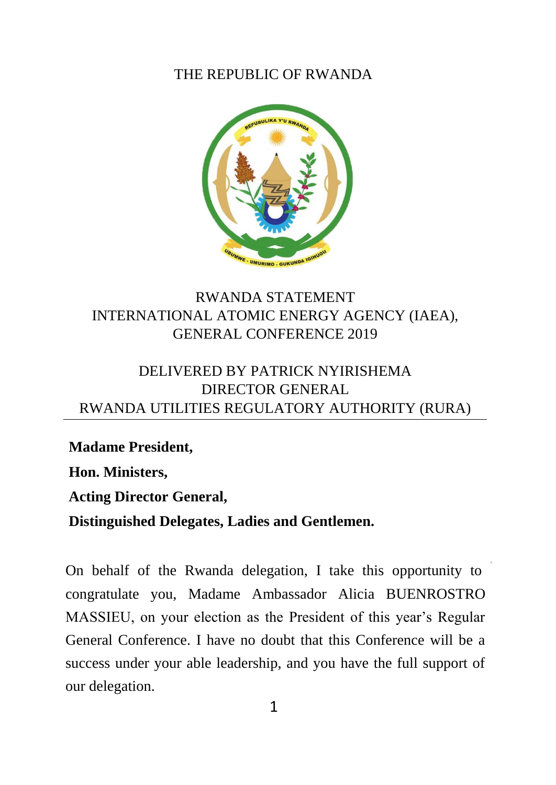#### THE REPUBLIC OF RWANDA



# RWANDA STATEMENT INTERNATIONAL ATOMIC ENERGY AGENCY (IAEA), GENERAL CONFERENCE 2019

# DELIVERED BY PATRICK NYIRISHEMA DIRECTOR GENERAL RWANDA UTILITIES REGULATORY AUTHORITY (RURA)

**Madame President, Hon. Ministers, Acting Director General,**

**Distinguished Delegates, Ladies and Gentlemen.**

On behalf of the Rwanda delegation, I take this opportunity to congratulate you, Madame Ambassador Alicia BUENROSTRO MASSIEU, on your election as the President of this year's Regular General Conference. I have no doubt that this Conference will be a success under your able leadership, and you have the full support of our delegation.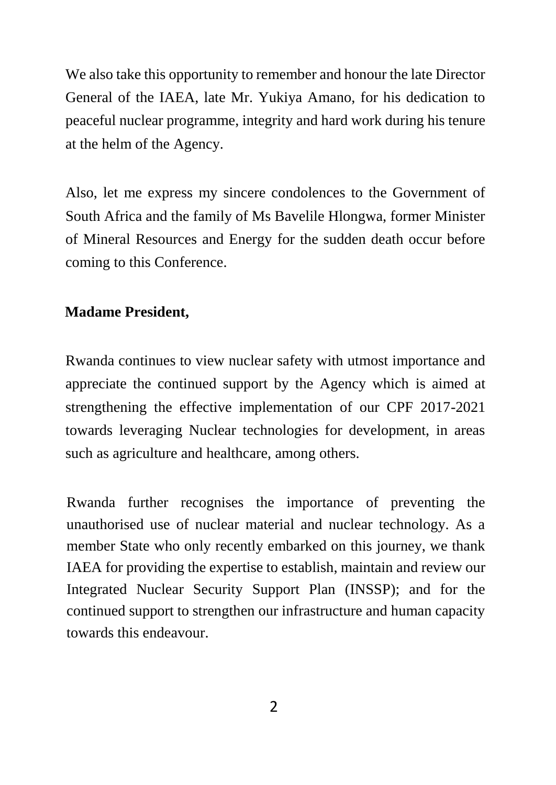We also take this opportunity to remember and honour the late Director General of the IAEA, late Mr. Yukiya Amano, for his dedication to peaceful nuclear programme, integrity and hard work during his tenure at the helm of the Agency.

Also, let me express my sincere condolences to the Government of South Africa and the family of Ms Bavelile Hlongwa, former Minister of Mineral Resources and Energy for the sudden death occur before coming to this Conference.

### **Madame President,**

Rwanda continues to view nuclear safety with utmost importance and appreciate the continued support by the Agency which is aimed at strengthening the effective implementation of our CPF 2017-2021 towards leveraging Nuclear technologies for development, in areas such as agriculture and healthcare, among others.

Rwanda further recognises the importance of preventing the unauthorised use of nuclear material and nuclear technology. As a member State who only recently embarked on this journey, we thank IAEA for providing the expertise to establish, maintain and review our Integrated Nuclear Security Support Plan (INSSP); and for the continued support to strengthen our infrastructure and human capacity towards this endeavour.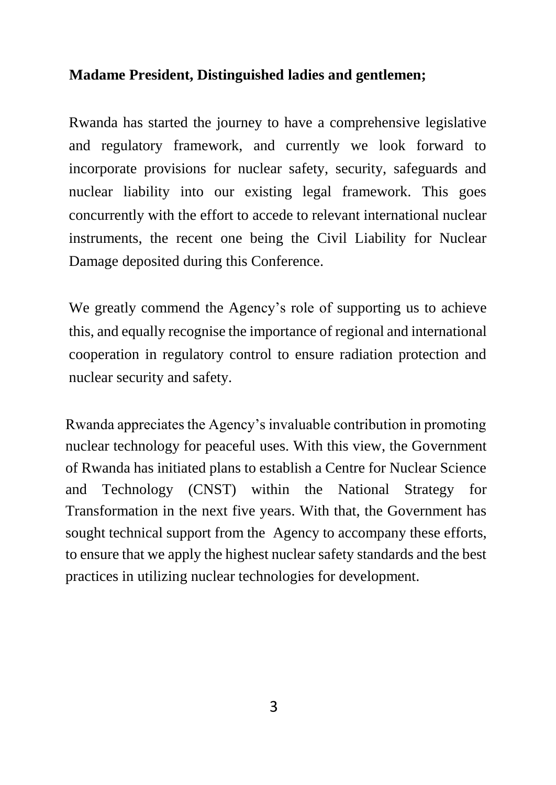# **Madame President, Distinguished ladies and gentlemen;**

Rwanda has started the journey to have a comprehensive legislative and regulatory framework, and currently we look forward to incorporate provisions for nuclear safety, security, safeguards and nuclear liability into our existing legal framework. This goes concurrently with the effort to accede to relevant international nuclear instruments, the recent one being the Civil Liability for Nuclear Damage deposited during this Conference.

We greatly commend the Agency's role of supporting us to achieve this, and equally recognise the importance of regional and international cooperation in regulatory control to ensure radiation protection and nuclear security and safety.

Rwanda appreciates the Agency's invaluable contribution in promoting nuclear technology for peaceful uses. With this view, the Government of Rwanda has initiated plans to establish a Centre for Nuclear Science and Technology (CNST) within the National Strategy for Transformation in the next five years. With that, the Government has sought technical support from the [Agency t](https://www.iaea.org/)o accompany these efforts, to ensure that we apply the highest nuclear safety standards and the best practices in utilizing nuclear technologies for development.